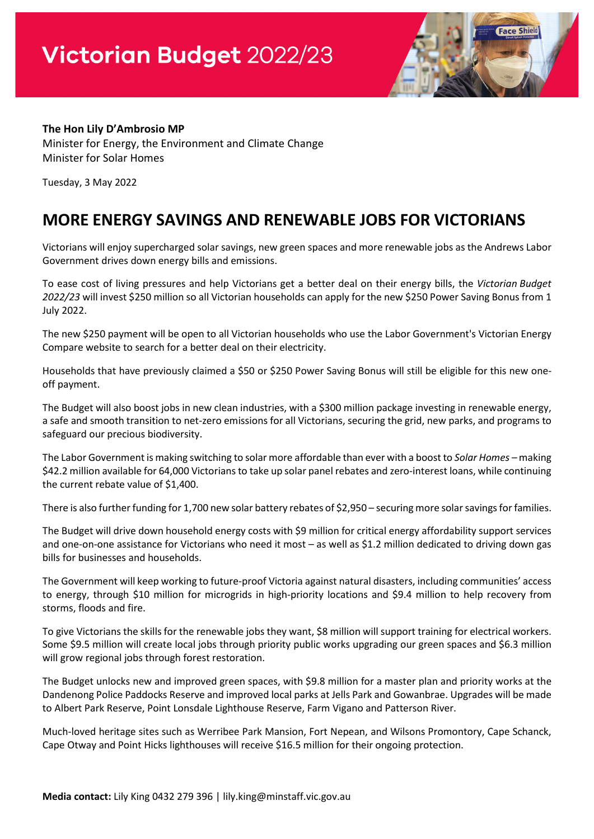

## **The Hon Lily D'Ambrosio MP**

Minister for Energy, the Environment and Climate Change Minister for Solar Homes

Tuesday, 3 May 2022

## **MORE ENERGY SAVINGS AND RENEWABLE JOBS FOR VICTORIANS**

Victorians will enjoy supercharged solar savings, new green spaces and more renewable jobs as the Andrews Labor Government drives down energy bills and emissions.

To ease cost of living pressures and help Victorians get a better deal on their energy bills, the *Victorian Budget 2022/23* will invest \$250 million so all Victorian households can apply for the new \$250 Power Saving Bonus from 1 July 2022.

The new \$250 payment will be open to all Victorian households who use the Labor Government's Victorian Energy Compare website to search for a better deal on their electricity.

Households that have previously claimed a \$50 or \$250 Power Saving Bonus will still be eligible for this new oneoff payment.

The Budget will also boost jobs in new clean industries, with a \$300 million package investing in renewable energy, a safe and smooth transition to net-zero emissions for all Victorians, securing the grid, new parks, and programs to safeguard our precious biodiversity.

The Labor Government is making switching to solar more affordable than ever with a boost to *Solar Homes –* making \$42.2 million available for 64,000 Victorians to take up solar panel rebates and zero-interest loans, while continuing the current rebate value of \$1,400.

There is also further funding for 1,700 new solar battery rebates of \$2,950 – securing more solar savings for families.

The Budget will drive down household energy costs with \$9 million for critical energy affordability support services and one-on-one assistance for Victorians who need it most – as well as \$1.2 million dedicated to driving down gas bills for businesses and households.

The Government will keep working to future-proof Victoria against natural disasters, including communities' access to energy, through \$10 million for microgrids in high-priority locations and \$9.4 million to help recovery from storms, floods and fire.

To give Victorians the skills for the renewable jobs they want, \$8 million will support training for electrical workers. Some \$9.5 million will create local jobs through priority public works upgrading our green spaces and \$6.3 million will grow regional jobs through forest restoration.

The Budget unlocks new and improved green spaces, with \$9.8 million for a master plan and priority works at the Dandenong Police Paddocks Reserve and improved local parks at Jells Park and Gowanbrae. Upgrades will be made to Albert Park Reserve, Point Lonsdale Lighthouse Reserve, Farm Vigano and Patterson River.

Much-loved heritage sites such as Werribee Park Mansion, Fort Nepean, and Wilsons Promontory, Cape Schanck, Cape Otway and Point Hicks lighthouses will receive \$16.5 million for their ongoing protection.